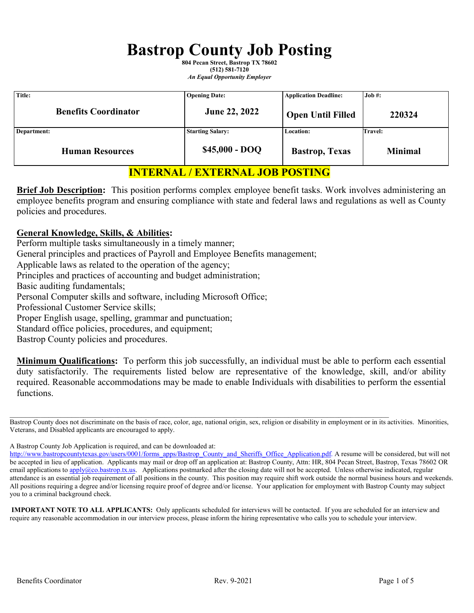# **Bastrop County Job Posting**

**804 Pecan Street, Bastrop TX 78602 (512) 581-7120** *An Equal Opportunity Employer*

| Title:                      | <b>Opening Date:</b>    | <b>Application Deadline:</b> | Job #:         |
|-----------------------------|-------------------------|------------------------------|----------------|
| <b>Benefits Coordinator</b> | June 22, 2022           | <b>Open Until Filled</b>     | 220324         |
| Department:                 | <b>Starting Salary:</b> | Location:                    | Travel:        |
| <b>Human Resources</b>      | $$45,000 - DOO$         | <b>Bastrop</b> , Texas       | <b>Minimal</b> |

# **INTERNAL / EXTERNAL JOB POSTING**

**Brief Job Description:** This position performs complex employee benefit tasks. Work involves administering an employee benefits program and ensuring compliance with state and federal laws and regulations as well as County policies and procedures.

#### **General Knowledge, Skills, & Abilities:**

Perform multiple tasks simultaneously in a timely manner;

General principles and practices of Payroll and Employee Benefits management;

Applicable laws as related to the operation of the agency;

Principles and practices of accounting and budget administration;

Basic auditing fundamentals;

Personal Computer skills and software, including Microsoft Office;

Professional Customer Service skills;

Proper English usage, spelling, grammar and punctuation;

Standard office policies, procedures, and equipment;

Bastrop County policies and procedures.

**Minimum Qualifications:** To perform this job successfully, an individual must be able to perform each essential duty satisfactorily. The requirements listed below are representative of the knowledge, skill, and/or ability required. Reasonable accommodations may be made to enable Individuals with disabilities to perform the essential functions.

 $\mathcal{L}_\mathcal{L} = \{ \mathcal{L}_\mathcal{L} = \{ \mathcal{L}_\mathcal{L} = \{ \mathcal{L}_\mathcal{L} = \{ \mathcal{L}_\mathcal{L} = \{ \mathcal{L}_\mathcal{L} = \{ \mathcal{L}_\mathcal{L} = \{ \mathcal{L}_\mathcal{L} = \{ \mathcal{L}_\mathcal{L} = \{ \mathcal{L}_\mathcal{L} = \{ \mathcal{L}_\mathcal{L} = \{ \mathcal{L}_\mathcal{L} = \{ \mathcal{L}_\mathcal{L} = \{ \mathcal{L}_\mathcal{L} = \{ \mathcal{L}_\mathcal{$ 

A Bastrop County Job Application is required, and can be downloaded at:

**IMPORTANT NOTE TO ALL APPLICANTS:** Only applicants scheduled for interviews will be contacted. If you are scheduled for an interview and require any reasonable accommodation in our interview process, please inform the hiring representative who calls you to schedule your interview.

Bastrop County does not discriminate on the basis of race, color, age, national origin, sex, religion or disability in employment or in its activities. Minorities, Veterans, and Disabled applicants are encouraged to apply.

[http://www.bastropcountytexas.gov/users/0001/forms\\_apps/Bastrop\\_County\\_and\\_Sheriffs\\_Office\\_Application.pdf.](http://www.bastropcountytexas.gov/users/0001/forms_apps/Bastrop_County_and_Sheriffs_Office_Application.pdf) A resume will be considered, but will not be accepted in lieu of application. Applicants may mail or drop off an application at: Bastrop County, Attn: HR, 804 Pecan Street, Bastrop, Texas 78602 OR email applications to *apply@co.bastrop.tx.us.* Applications postmarked after the closing date will not be accepted. Unless otherwise indicated, regular attendance is an essential job requirement of all positions in the county. This position may require shift work outside the normal business hours and weekends. All positions requiring a degree and/or licensing require proof of degree and/or license. Your application for employment with Bastrop County may subject you to a criminal background check.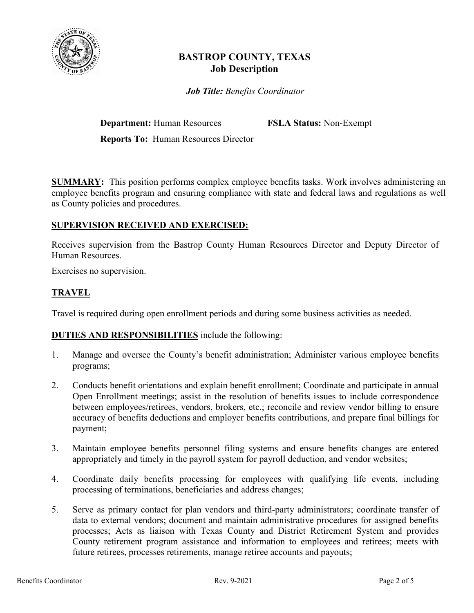

# **BASTROP COUNTY, TEXAS Job Description**

*Job Title: Benefits Coordinator*

**Department:** Human Resources **FSLA Status:** Non-Exempt

**Reports To:** Human Resources Director

**SUMMARY:** This position performs complex employee benefits tasks. Work involves administering an employee benefits program and ensuring compliance with state and federal laws and regulations as well as County policies and procedures.

## **SUPERVISION RECEIVED AND EXERCISED:**

Receives supervision from the Bastrop County Human Resources Director and Deputy Director of Human Resources.

Exercises no supervision.

## **TRAVEL**

Travel is required during open enrollment periods and during some business activities as needed.

## **DUTIES AND RESPONSIBILITIES** include the following:

- 1. Manage and oversee the County's benefit administration; Administer various employee benefits programs;
- 2. Conducts benefit orientations and explain benefit enrollment; Coordinate and participate in annual Open Enrollment meetings; assist in the resolution of benefits issues to include correspondence between employees/retirees, vendors, brokers, etc.; reconcile and review vendor billing to ensure accuracy of benefits deductions and employer benefits contributions, and prepare final billings for payment;
- 3. Maintain employee benefits personnel filing systems and ensure benefits changes are entered appropriately and timely in the payroll system for payroll deduction, and vendor websites;
- 4. Coordinate daily benefits processing for employees with qualifying life events, including processing of terminations, beneficiaries and address changes;
- 5. Serve as primary contact for plan vendors and third-party administrators; coordinate transfer of data to external vendors; document and maintain administrative procedures for assigned benefits processes; Acts as liaison with Texas County and District Retirement System and provides County retirement program assistance and information to employees and retirees; meets with future retirees, processes retirements, manage retiree accounts and payouts;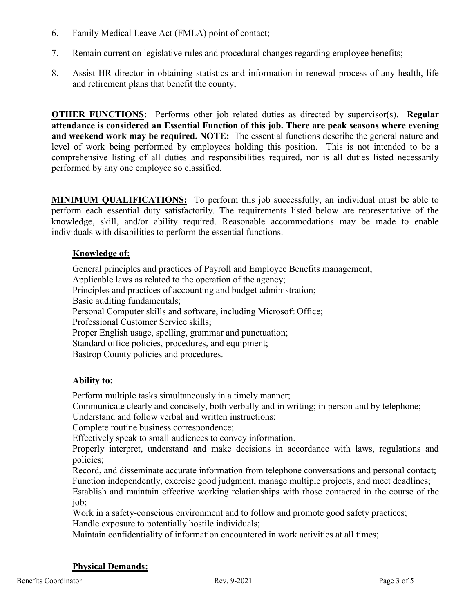- 6. Family Medical Leave Act (FMLA) point of contact;
- 7. Remain current on legislative rules and procedural changes regarding employee benefits;
- 8. Assist HR director in obtaining statistics and information in renewal process of any health, life and retirement plans that benefit the county;

**OTHER FUNCTIONS:** Performs other job related duties as directed by supervisor(s). **Regular attendance is considered an Essential Function of this job. There are peak seasons where evening and weekend work may be required. NOTE:** The essential functions describe the general nature and level of work being performed by employees holding this position. This is not intended to be a comprehensive listing of all duties and responsibilities required, nor is all duties listed necessarily performed by any one employee so classified.

**MINIMUM QUALIFICATIONS:** To perform this job successfully, an individual must be able to perform each essential duty satisfactorily. The requirements listed below are representative of the knowledge, skill, and/or ability required. Reasonable accommodations may be made to enable individuals with disabilities to perform the essential functions.

## **Knowledge of:**

General principles and practices of Payroll and Employee Benefits management; Applicable laws as related to the operation of the agency; Principles and practices of accounting and budget administration; Basic auditing fundamentals; Personal Computer skills and software, including Microsoft Office; Professional Customer Service skills; Proper English usage, spelling, grammar and punctuation; Standard office policies, procedures, and equipment; Bastrop County policies and procedures.

## **Ability to:**

Perform multiple tasks simultaneously in a timely manner;

Communicate clearly and concisely, both verbally and in writing; in person and by telephone;

Understand and follow verbal and written instructions;

Complete routine business correspondence;

Effectively speak to small audiences to convey information.

Properly interpret, understand and make decisions in accordance with laws, regulations and policies;

Record, and disseminate accurate information from telephone conversations and personal contact; Function independently, exercise good judgment, manage multiple projects, and meet deadlines;

Establish and maintain effective working relationships with those contacted in the course of the job;

Work in a safety-conscious environment and to follow and promote good safety practices; Handle exposure to potentially hostile individuals;

Maintain confidentiality of information encountered in work activities at all times;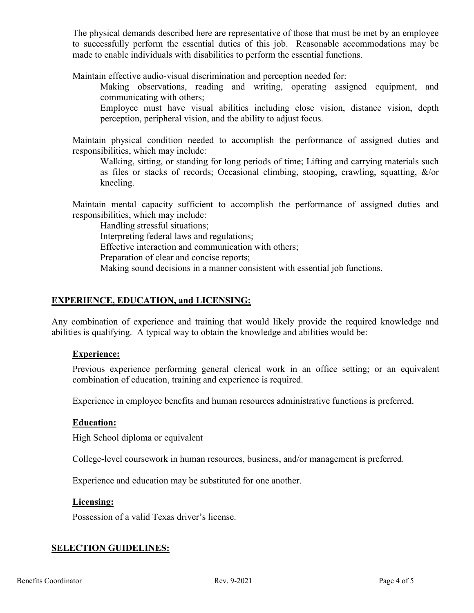The physical demands described here are representative of those that must be met by an employee to successfully perform the essential duties of this job. Reasonable accommodations may be made to enable individuals with disabilities to perform the essential functions.

Maintain effective audio-visual discrimination and perception needed for:

Making observations, reading and writing, operating assigned equipment, and communicating with others;

Employee must have visual abilities including close vision, distance vision, depth perception, peripheral vision, and the ability to adjust focus.

Maintain physical condition needed to accomplish the performance of assigned duties and responsibilities, which may include:

Walking, sitting, or standing for long periods of time; Lifting and carrying materials such as files or stacks of records; Occasional climbing, stooping, crawling, squatting,  $\&$ /or kneeling.

Maintain mental capacity sufficient to accomplish the performance of assigned duties and responsibilities, which may include:

Handling stressful situations; Interpreting federal laws and regulations; Effective interaction and communication with others; Preparation of clear and concise reports; Making sound decisions in a manner consistent with essential job functions.

## **EXPERIENCE, EDUCATION, and LICENSING:**

Any combination of experience and training that would likely provide the required knowledge and abilities is qualifying. A typical way to obtain the knowledge and abilities would be:

#### **Experience:**

Previous experience performing general clerical work in an office setting; or an equivalent combination of education, training and experience is required.

Experience in employee benefits and human resources administrative functions is preferred.

#### **Education:**

High School diploma or equivalent

College-level coursework in human resources, business, and/or management is preferred.

Experience and education may be substituted for one another.

#### **Licensing:**

Possession of a valid Texas driver's license.

## **SELECTION GUIDELINES:**